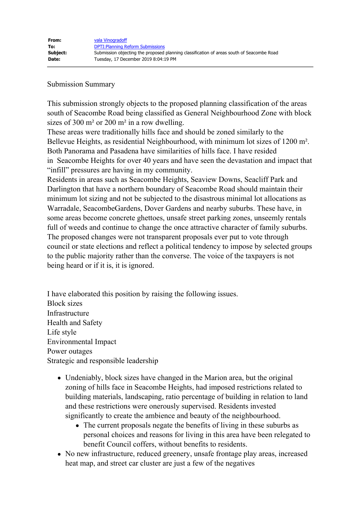## Submission Summary

This submission strongly objects to the proposed planning classification of the areas south of Seacombe Road being classified as General Neighbourhood Zone with block sizes of 300 m<sup>2</sup> or 200 m<sup>2</sup> in a row dwelling.

These areas were traditionally hills face and should be zoned similarly to the Bellevue Heights, as residential Neighbourhood, with minimum lot sizes of 1200 m². Both Panorama and Pasadena have similarities of hills face. I have resided in Seacombe Heights for over 40 years and have seen the devastation and impact that "infill" pressures are having in my community.

Residents in areas such as Seacombe Heights, Seaview Downs, Seacliff Park and Darlington that have a northern boundary of Seacombe Road should maintain their minimum lot sizing and not be subjected to the disastrous minimal lot allocations as Warradale, SeacombeGardens, Dover Gardens and nearby suburbs. These have, in some areas become concrete ghettoes, unsafe street parking zones, unseemly rentals full of weeds and continue to change the once attractive character of family suburbs. The proposed changes were not transparent proposals ever put to vote through council or state elections and reflect a political tendency to impose by selected groups to the public majority rather than the converse. The voice of the taxpayers is not being heard or if it is, it is ignored.

I have elaborated this position by raising the following issues. Block sizes Infrastructure Health and Safety Life style Environmental Impact Power outages Strategic and responsible leadership

- Undeniably, block sizes have changed in the Marion area, but the original zoning of hills face in Seacombe Heights, had imposed restrictions related to building materials, landscaping, ratio percentage of building in relation to land and these restrictions were onerously supervised. Residents invested significantly to create the ambience and beauty of the neighbourhood.
	- The current proposals negate the benefits of living in these suburbs as personal choices and reasons for living in this area have been relegated to benefit Council coffers, without benefits to residents.
- No new infrastructure, reduced greenery, unsafe frontage play areas, increased heat map, and street car cluster are just a few of the negatives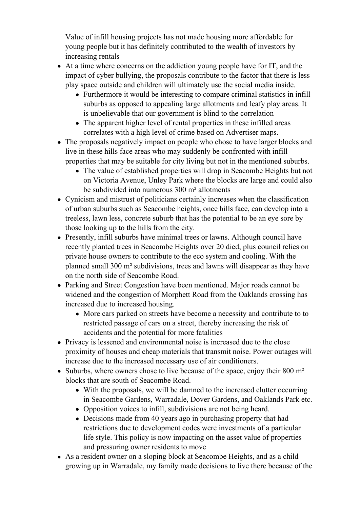Value of infill housing projects has not made housing more affordable for young people but it has definitely contributed to the wealth of investors by increasing rentals

- At a time where concerns on the addiction young people have for IT, and the impact of cyber bullying, the proposals contribute to the factor that there is less play space outside and children will ultimately use the social media inside.
	- Furthermore it would be interesting to compare criminal statistics in infill suburbs as opposed to appealing large allotments and leafy play areas. It is unbelievable that our government is blind to the correlation
	- The apparent higher level of rental properties in these infilled areas correlates with a high level of crime based on Advertiser maps.
- The proposals negatively impact on people who chose to have larger blocks and live in these hills face areas who may suddenly be confronted with infill properties that may be suitable for city living but not in the mentioned suburbs.
	- The value of established properties will drop in Seacombe Heights but not on Victoria Avenue, Unley Park where the blocks are large and could also be subdivided into numerous 300 m² allotments
- Cynicism and mistrust of politicians certainly increases when the classification of urban suburbs such as Seacombe heights, once hills face, can develop into a treeless, lawn less, concrete suburb that has the potential to be an eye sore by those looking up to the hills from the city.
- Presently, infill suburbs have minimal trees or lawns. Although council have recently planted trees in Seacombe Heights over 20 died, plus council relies on private house owners to contribute to the eco system and cooling. With the planned small 300 m² subdivisions, trees and lawns will disappear as they have on the north side of Seacombe Road.
- Parking and Street Congestion have been mentioned. Major roads cannot be widened and the congestion of Morphett Road from the Oaklands crossing has increased due to increased housing.
	- More cars parked on streets have become a necessity and contribute to to restricted passage of cars on a street, thereby increasing the risk of accidents and the potential for more fatalities
- Privacy is lessened and environmental noise is increased due to the close proximity of houses and cheap materials that transmit noise. Power outages will increase due to the increased necessary use of air conditioners.
- Suburbs, where owners chose to live because of the space, enjoy their  $800 \text{ m}^2$ blocks that are south of Seacombe Road.
	- With the proposals, we will be damned to the increased clutter occurring in Seacombe Gardens, Warradale, Dover Gardens, and Oaklands Park etc.
	- Opposition voices to infill, subdivisions are not being heard.
	- Decisions made from 40 years ago in purchasing property that had restrictions due to development codes were investments of a particular life style. This policy is now impacting on the asset value of properties and pressuring owner residents to move
- As a resident owner on a sloping block at Seacombe Heights, and as a child growing up in Warradale, my family made decisions to live there because of the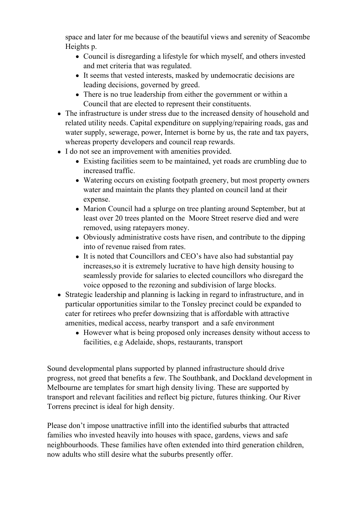space and later for me because of the beautiful views and serenity of Seacombe Heights p.

- Council is disregarding a lifestyle for which myself, and others invested and met criteria that was regulated.
- It seems that vested interests, masked by undemocratic decisions are leading decisions, governed by greed.
- There is no true leadership from either the government or within a Council that are elected to represent their constituents.
- The infrastructure is under stress due to the increased density of household and related utility needs. Capital expenditure on supplying/repairing roads, gas and water supply, sewerage, power, Internet is borne by us, the rate and tax payers, whereas property developers and council reap rewards.
- I do not see an improvement with amenities provided.
	- Existing facilities seem to be maintained, yet roads are crumbling due to increased traffic.
	- Watering occurs on existing footpath greenery, but most property owners water and maintain the plants they planted on council land at their expense.
	- Marion Council had a splurge on tree planting around September, but at least over 20 trees planted on the Moore Street reserve died and were removed, using ratepayers money.
	- Obviously administrative costs have risen, and contribute to the dipping into of revenue raised from rates.
	- It is noted that Councillors and CEO's have also had substantial pay increases,so it is extremely lucrative to have high density housing to seamlessly provide for salaries to elected councillors who disregard the voice opposed to the rezoning and subdivision of large blocks.
- Strategic leadership and planning is lacking in regard to infrastructure, and in particular opportunities similar to the Tonsley precinct could be expanded to cater for retirees who prefer downsizing that is affordable with attractive amenities, medical access, nearby transport and a safe environment
	- However what is being proposed only increases density without access to facilities, e.g Adelaide, shops, restaurants, transport

Sound developmental plans supported by planned infrastructure should drive progress, not greed that benefits a few. The Southbank, and Dockland development in Melbourne are templates for smart high density living. These are supported by transport and relevant facilities and reflect big picture, futures thinking. Our River Torrens precinct is ideal for high density.

Please don't impose unattractive infill into the identified suburbs that attracted families who invested heavily into houses with space, gardens, views and safe neighbourhoods. These families have often extended into third generation children, now adults who still desire what the suburbs presently offer.